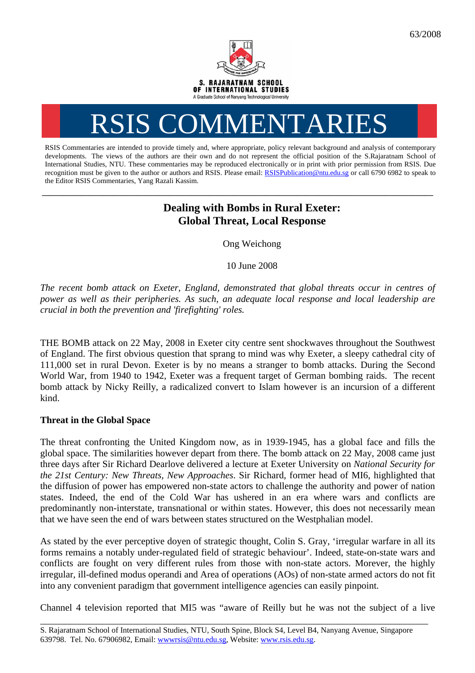

# RSIS COMMENTARIES

RSIS Commentaries are intended to provide timely and, where appropriate, policy relevant background and analysis of contemporary developments. The views of the authors are their own and do not represent the official position of the S.Rajaratnam School of International Studies, NTU. These commentaries may be reproduced electronically or in print with prior permission from RSIS. Due recognition must be given to the author or authors and RSIS. Please email: [RSISPublication@ntu.edu.sg](mailto:RSISPublication@ntu.edu.sg) or call 6790 6982 to speak to the Editor RSIS Commentaries, Yang Razali Kassim.

**\_\_\_\_\_\_\_\_\_\_\_\_\_\_\_\_\_\_\_\_\_\_\_\_\_\_\_\_\_\_\_\_\_\_\_\_\_\_\_\_\_\_\_\_\_\_\_\_\_\_\_\_\_\_\_\_\_\_\_\_\_\_\_\_\_\_\_\_\_\_\_\_\_\_\_\_\_\_\_\_\_\_\_\_\_\_\_\_\_\_\_\_\_\_\_\_\_\_** 

# **Dealing with Bombs in Rural Exeter: Global Threat, Local Response**

Ong Weichong

10 June 2008

*The recent bomb attack on Exeter, England, demonstrated that global threats occur in centres of power as well as their peripheries. As such, an adequate local response and local leadership are crucial in both the prevention and 'firefighting' roles.* 

THE BOMB attack on 22 May, 2008 in Exeter city centre sent shockwaves throughout the Southwest of England. The first obvious question that sprang to mind was why Exeter, a sleepy cathedral city of 111,000 set in rural Devon. Exeter is by no means a stranger to bomb attacks. During the Second World War, from 1940 to 1942, Exeter was a frequent target of German bombing raids. The recent bomb attack by Nicky Reilly, a radicalized convert to Islam however is an incursion of a different kind.

## **Threat in the Global Space**

The threat confronting the United Kingdom now, as in 1939-1945, has a global face and fills the global space. The similarities however depart from there. The bomb attack on 22 May, 2008 came just three days after Sir Richard Dearlove delivered a lecture at Exeter University on *National Security for the 21st Century: New Threats, New Approaches*. Sir Richard, former head of MI6, highlighted that the diffusion of power has empowered non-state actors to challenge the authority and power of nation states. Indeed, the end of the Cold War has ushered in an era where wars and conflicts are predominantly non-interstate, transnational or within states. However, this does not necessarily mean that we have seen the end of wars between states structured on the Westphalian model.

As stated by the ever perceptive doyen of strategic thought, Colin S. Gray, 'irregular warfare in all its forms remains a notably under-regulated field of strategic behaviour'. Indeed, state-on-state wars and conflicts are fought on very different rules from those with non-state actors. Morever, the highly irregular, ill-defined modus operandi and Area of operations (AOs) of non-state armed actors do not fit into any convenient paradigm that government intelligence agencies can easily pinpoint.

Channel 4 television reported that MI5 was "aware of Reilly but he was not the subject of a live \_\_\_\_\_\_\_\_\_\_\_\_\_\_\_\_\_\_\_\_\_\_\_\_\_\_\_\_\_\_\_\_\_\_\_\_\_\_\_\_\_\_\_\_\_\_\_\_\_\_\_\_\_\_\_\_\_\_\_\_\_\_\_\_\_\_\_\_\_\_\_\_\_\_\_\_\_\_\_\_\_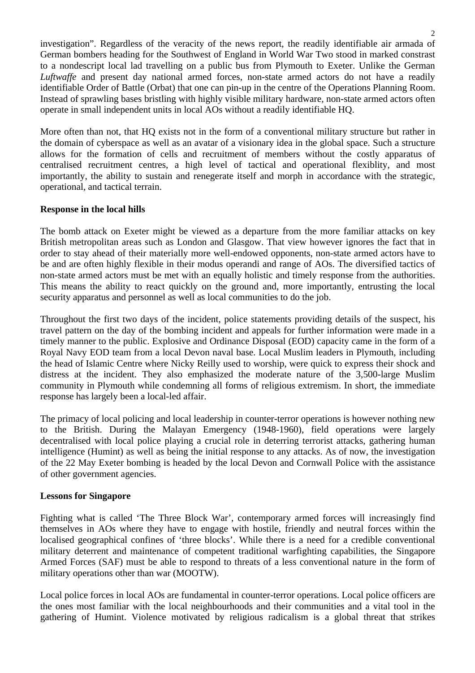investigation". Regardless of the veracity of the news report, the readily identifiable air armada of German bombers heading for the Southwest of England in World War Two stood in marked constrast to a nondescript local lad travelling on a public bus from Plymouth to Exeter. Unlike the German *Luftwaffe* and present day national armed forces, non-state armed actors do not have a readily identifiable Order of Battle (Orbat) that one can pin-up in the centre of the Operations Planning Room. Instead of sprawling bases bristling with highly visible military hardware, non-state armed actors often operate in small independent units in local AOs without a readily identifiable HQ.

More often than not, that HQ exists not in the form of a conventional military structure but rather in the domain of cyberspace as well as an avatar of a visionary idea in the global space. Such a structure allows for the formation of cells and recruitment of members without the costly apparatus of centralised recruitment centres, a high level of tactical and operational flexiblity, and most importantly, the ability to sustain and renegerate itself and morph in accordance with the strategic, operational, and tactical terrain.

### **Response in the local hills**

The bomb attack on Exeter might be viewed as a departure from the more familiar attacks on key British metropolitan areas such as London and Glasgow. That view however ignores the fact that in order to stay ahead of their materially more well-endowed opponents, non-state armed actors have to be and are often highly flexible in their modus operandi and range of AOs. The diversified tactics of non-state armed actors must be met with an equally holistic and timely response from the authorities. This means the ability to react quickly on the ground and, more importantly, entrusting the local security apparatus and personnel as well as local communities to do the job.

Throughout the first two days of the incident, police statements providing details of the suspect, his travel pattern on the day of the bombing incident and appeals for further information were made in a timely manner to the public. Explosive and Ordinance Disposal (EOD) capacity came in the form of a Royal Navy EOD team from a local Devon naval base. Local Muslim leaders in Plymouth, including the head of Islamic Centre where Nicky Reilly used to worship, were quick to express their shock and distress at the incident. They also emphasized the moderate nature of the 3,500-large Muslim community in Plymouth while condemning all forms of religious extremism. In short, the immediate response has largely been a local-led affair.

The primacy of local policing and local leadership in counter-terror operations is however nothing new to the British. During the Malayan Emergency (1948-1960), field operations were largely decentralised with local police playing a crucial role in deterring terrorist attacks, gathering human intelligence (Humint) as well as being the initial response to any attacks. As of now, the investigation of the 22 May Exeter bombing is headed by the local Devon and Cornwall Police with the assistance of other government agencies.

### **Lessons for Singapore**

Fighting what is called 'The Three Block War', contemporary armed forces will increasingly find themselves in AOs where they have to engage with hostile, friendly and neutral forces within the localised geographical confines of 'three blocks'. While there is a need for a credible conventional military deterrent and maintenance of competent traditional warfighting capabilities, the Singapore Armed Forces (SAF) must be able to respond to threats of a less conventional nature in the form of military operations other than war (MOOTW).

Local police forces in local AOs are fundamental in counter-terror operations. Local police officers are the ones most familiar with the local neighbourhoods and their communities and a vital tool in the gathering of Humint. Violence motivated by religious radicalism is a global threat that strikes